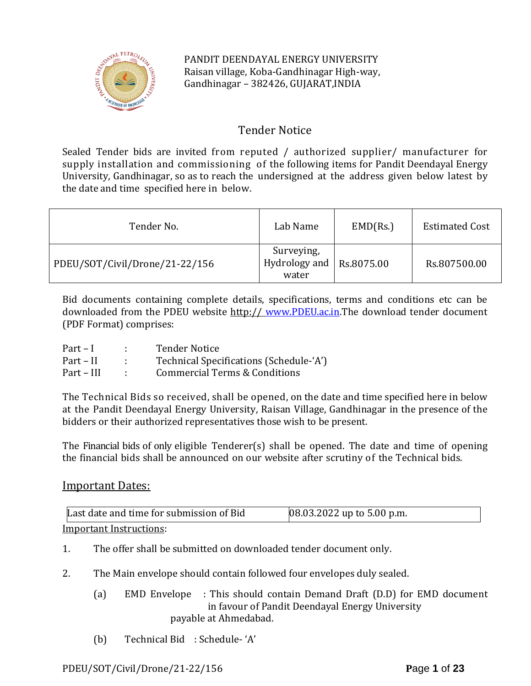

PANDIT DEENDAYAL ENERGY UNIVERSITY Raisan village, Koba-Gandhinagar High-way, Gandhinagar – 382426, GUJARAT,INDIA

# Tender Notice

Sealed Tender bids are invited from reputed / authorized supplier/ manufacturer for supply installation and commissioning of the following items for Pandit Deendayal Energy University, Gandhinagar, so as to reach the undersigned at the address given below latest by the date and time specified here in below.

| Tender No.                     | Lab Name                                        | EMD(Rs.) | <b>Estimated Cost</b> |
|--------------------------------|-------------------------------------------------|----------|-----------------------|
| PDEU/SOT/Civil/Drone/21-22/156 | Surveying,<br>Hydrology and Rs.8075.00<br>water |          | Rs.807500.00          |

Bid documents containing complete details, specifications, terms and conditions etc can be downloaded from the PDEU website http:// [www.PDEU.ac.in.](http://www.pdpu.ac.in/)The download tender document (PDF Format) comprises:

| $Part-I$   | <b>Tender Notice</b>                     |
|------------|------------------------------------------|
| Part – II  | Technical Specifications (Schedule-'A')  |
| Part – III | <b>Commercial Terms &amp; Conditions</b> |

The Technical Bids so received, shall be opened, on the date and time specified here in below at the Pandit Deendayal Energy University, Raisan Village, Gandhinagar in the presence of the bidders or their authorized representatives those wish to be present.

The Financial bids of only eligible Tenderer(s) shall be opened. The date and time of opening the financial bids shall be announced on our website after scrutiny of the Technical bids.

# Important Dates:

| Last date and time for submission of Bid | $[08.03.2022$ up to 5.00 p.m. |
|------------------------------------------|-------------------------------|
| Important Instructions:                  |                               |

- 1. The offer shall be submitted on downloaded tender document only.
- 2. The Main envelope should contain followed four envelopes duly sealed.
	- (a) EMD Envelope : This should contain Demand Draft (D.D) for EMD document in favour of Pandit Deendayal Energy University payable at Ahmedabad.
	- (b) Technical Bid : Schedule- 'A'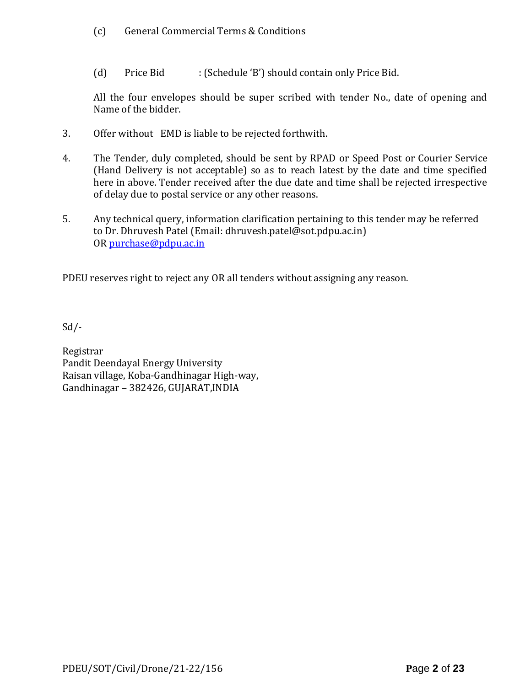- (c) General Commercial Terms & Conditions
- (d) Price Bid : (Schedule 'B') should contain only Price Bid.

All the four envelopes should be super scribed with tender No., date of opening and Name of the bidder.

- 3. Offer without EMD is liable to be rejected forthwith.
- 4. The Tender, duly completed, should be sent by RPAD or Speed Post or Courier Service (Hand Delivery is not acceptable) so as to reach latest by the date and time specified here in above. Tender received after the due date and time shall be rejected irrespective of delay due to postal service or any other reasons.
- 5. Any technical query, information clarification pertaining to this tender may be referred to Dr. Dhruvesh Patel (Email: dhruvesh.patel@sot.pdpu.ac.in) OR [purchase@pdpu.ac.in](mailto:purchase@pdpu.ac.in)

PDEU reserves right to reject any OR all tenders without assigning any reason.

Sd/-

Registrar Pandit Deendayal Energy University Raisan village, Koba-Gandhinagar High-way, Gandhinagar – 382426, GUJARAT,INDIA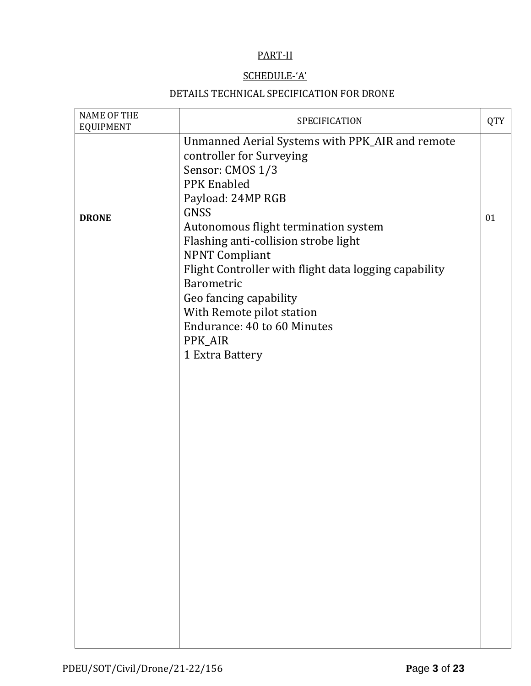# PART-II

# SCHEDULE-'A'

# DETAILS TECHNICAL SPECIFICATION FOR DRONE

| <b>NAME OF THE</b><br><b>EQUIPMENT</b> | SPECIFICATION                                                                                                                                                                                                                                                                                                                      | <b>QTY</b> |
|----------------------------------------|------------------------------------------------------------------------------------------------------------------------------------------------------------------------------------------------------------------------------------------------------------------------------------------------------------------------------------|------------|
| <b>DRONE</b>                           | Unmanned Aerial Systems with PPK_AIR and remote<br>controller for Surveying<br>Sensor: CMOS 1/3<br><b>PPK</b> Enabled<br>Payload: 24MP RGB<br>GNSS<br>Autonomous flight termination system<br>Flashing anti-collision strobe light<br><b>NPNT Compliant</b><br>Flight Controller with flight data logging capability<br>Barometric | 01         |
|                                        | Geo fancing capability<br>With Remote pilot station<br>Endurance: 40 to 60 Minutes<br>PPK_AIR<br>1 Extra Battery                                                                                                                                                                                                                   |            |
|                                        |                                                                                                                                                                                                                                                                                                                                    |            |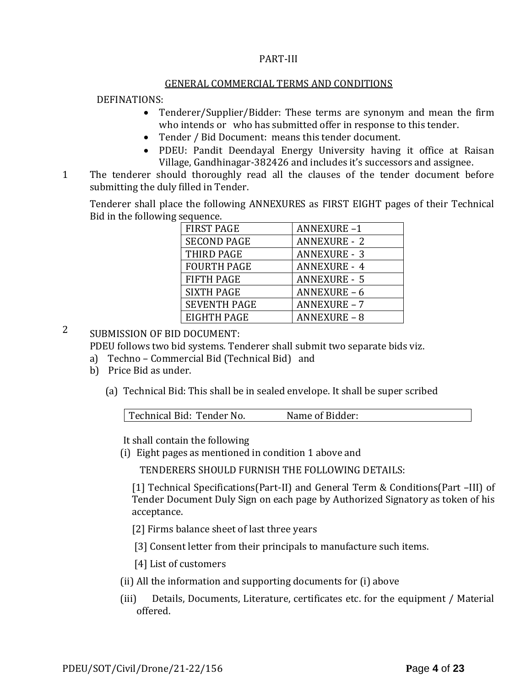# PART-III

#### GENERAL COMMERCIAL TERMS AND CONDITIONS

# DEFINATIONS:

- Tenderer/Supplier/Bidder: These terms are synonym and mean the firm who intends or who has submitted offer in response to this tender.
- Tender / Bid Document: means this tender document.
- PDEU: Pandit Deendayal Energy University having it office at Raisan Village, Gandhinagar-382426 and includes it's successors and assignee.
- 11. The tenderer should thoroughly read all the clauses of the tender document before submitting the duly filled in Tender.

Tenderer shall place the following ANNEXURES as FIRST EIGHT pages of their Technical Bid in the following sequence.

| <b>FIRST PAGE</b>   | <b>ANNEXURE-1</b>   |
|---------------------|---------------------|
| <b>SECOND PAGE</b>  | <b>ANNEXURE - 2</b> |
| THIRD PAGE          | <b>ANNEXURE - 3</b> |
| <b>FOURTH PAGE</b>  | <b>ANNEXURE - 4</b> |
| <b>FIFTH PAGE</b>   | <b>ANNEXURE - 5</b> |
| <b>SIXTH PAGE</b>   | <b>ANNEXURE - 6</b> |
| <b>SEVENTH PAGE</b> | <b>ANNEXURE - 7</b> |
| EIGHTH PAGE         | <b>ANNEXURE - 8</b> |

2 SUBMISSION OF BID DOCUMENT:

PDEU follows two bid systems. Tenderer shall submit two separate bids viz.

- a) Techno Commercial Bid (Technical Bid) and
- b) Price Bid as under.
	- (a) Technical Bid: This shall be in sealed envelope. It shall be super scribed

| Technical Bid: Tender No. | Name of Bidder: |  |
|---------------------------|-----------------|--|
|                           |                 |  |

It shall contain the following

(i) Eight pages as mentioned in condition 1 above and

TENDERERS SHOULD FURNISH THE FOLLOWING DETAILS:

[1] Technical Specifications(Part-II) and General Term & Conditions(Part –III) of Tender Document Duly Sign on each page by Authorized Signatory as token of his acceptance.

[2] Firms balance sheet of last three years

[3] Consent letter from their principals to manufacture such items.

[4] List of customers

- (ii) All the information and supporting documents for (i) above
- (iii) Details, Documents, Literature, certificates etc. for the equipment / Material offered.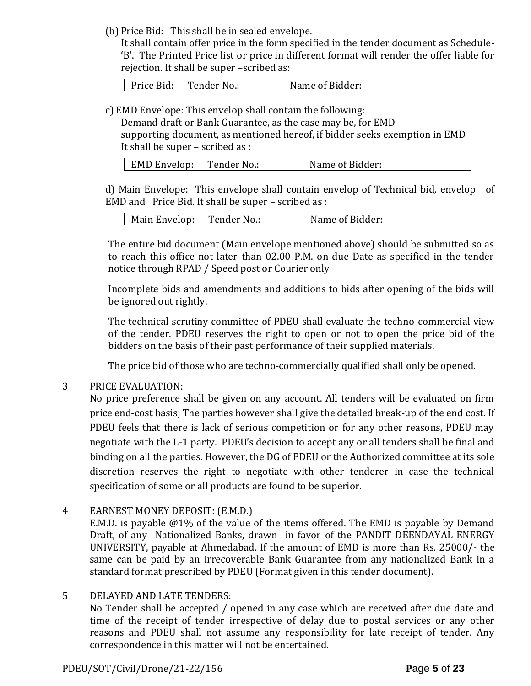(b) Price Bid: This shall be in sealed envelope.

It shall contain offer price in the form specified in the tender document as Schedule- 'B'. The Printed Price list or price in different format will render the offer liable for rejection. It shall be super –scribed as:

Price Bid: Tender No.: Name of Bidder:

c) EMD Envelope: This envelop shall contain the following:

Demand draft or Bank Guarantee, as the case may be, for EMD supporting document, as mentioned hereof, if bidder seeks exemption in EMD It shall be super – scribed as :

| EMD Envelop: | Tender No.: | Name of Bidder: |
|--------------|-------------|-----------------|
|              |             |                 |

d) Main Envelope: This envelope shall contain envelop of Technical bid, envelop of EMD and Price Bid. It shall be super – scribed as :

| Main Envelop: | Tender No.: | Name of Bidder: |
|---------------|-------------|-----------------|
|---------------|-------------|-----------------|

The entire bid document (Main envelope mentioned above) should be submitted so as to reach this office not later than 02.00 P.M. on due Date as specified in the tender notice through RPAD / Speed post or Courier only

Incomplete bids and amendments and additions to bids after opening of the bids will be ignored out rightly.

The technical scrutiny committee of PDEU shall evaluate the techno-commercial view of the tender. PDEU reserves the right to open or not to open the price bid of the bidders on the basis of their past performance of their supplied materials.

The price bid of those who are techno-commercially qualified shall only be opened.

# 3 PRICE EVALUATION:

No price preference shall be given on any account. All tenders will be evaluated on firm price end-cost basis; The parties however shall give the detailed break-up of the end cost. If PDEU feels that there is lack of serious competition or for any other reasons, PDEU may negotiate with the L-1 party. PDEU's decision to accept any or all tenders shall be final and binding on all the parties. However, the DG of PDEU or the Authorized committee at its sole discretion reserves the right to negotiate with other tenderer in case the technical specification of some or all products are found to be superior.

4 EARNEST MONEY DEPOSIT: (E.M.D.)

E.M.D. is payable @1% of the value of the items offered. The EMD is payable by Demand Draft, of any Nationalized Banks, drawn in favor of the PANDIT DEENDAYAL ENERGY UNIVERSITY, payable at Ahmedabad. If the amount of EMD is more than Rs. 25000/- the same can be paid by an irrecoverable Bank Guarantee from any nationalized Bank in a standard format prescribed by PDEU (Format given in this tender document).

# 5 DELAYED AND LATE TENDERS:

No Tender shall be accepted / opened in any case which are received after due date and time of the receipt of tender irrespective of delay due to postal services or any other reasons and PDEU shall not assume any responsibility for late receipt of tender. Any correspondence in this matter will not be entertained.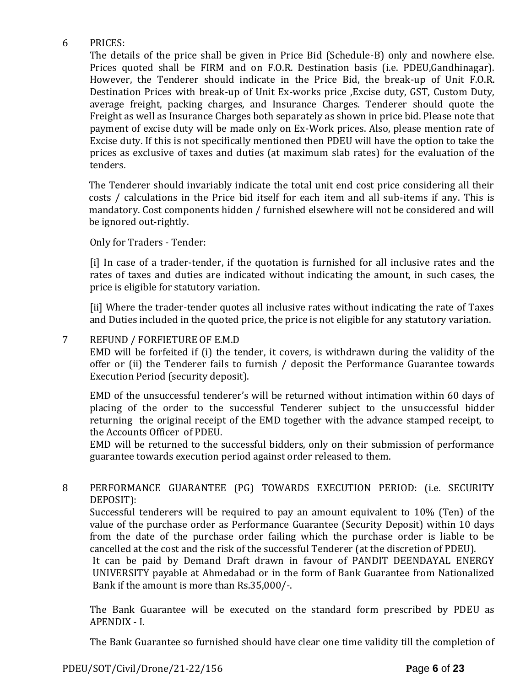# 6 PRICES:

The details of the price shall be given in Price Bid (Schedule-B) only and nowhere else. Prices quoted shall be FIRM and on F.O.R. Destination basis (i.e. PDEU,Gandhinagar). However, the Tenderer should indicate in the Price Bid, the break-up of Unit F.O.R. Destination Prices with break-up of Unit Ex-works price ,Excise duty, GST, Custom Duty, average freight, packing charges, and Insurance Charges. Tenderer should quote the Freight as well as Insurance Charges both separately as shown in price bid. Please note that payment of excise duty will be made only on Ex-Work prices. Also, please mention rate of Excise duty. If this is not specifically mentioned then PDEU will have the option to take the prices as exclusive of taxes and duties (at maximum slab rates) for the evaluation of the tenders.

The Tenderer should invariably indicate the total unit end cost price considering all their costs / calculations in the Price bid itself for each item and all sub-items if any. This is mandatory. Cost components hidden / furnished elsewhere will not be considered and will be ignored out-rightly.

Only for Traders - Tender:

[i] In case of a trader-tender, if the quotation is furnished for all inclusive rates and the rates of taxes and duties are indicated without indicating the amount, in such cases, the price is eligible for statutory variation.

[ii] Where the trader-tender quotes all inclusive rates without indicating the rate of Taxes and Duties included in the quoted price, the price is not eligible for any statutory variation.

# 7 REFUND / FORFIETURE OF E.M.D

EMD will be forfeited if (i) the tender, it covers, is withdrawn during the validity of the offer or (ii) the Tenderer fails to furnish / deposit the Performance Guarantee towards Execution Period (security deposit).

EMD of the unsuccessful tenderer's will be returned without intimation within 60 days of placing of the order to the successful Tenderer subject to the unsuccessful bidder returning the original receipt of the EMD together with the advance stamped receipt, to the Accounts Officer of PDEU.

EMD will be returned to the successful bidders, only on their submission of performance guarantee towards execution period against order released to them.

# 8 PERFORMANCE GUARANTEE (PG) TOWARDS EXECUTION PERIOD: (i.e. SECURITY DEPOSIT):

Successful tenderers will be required to pay an amount equivalent to 10% (Ten) of the value of the purchase order as Performance Guarantee (Security Deposit) within 10 days from the date of the purchase order failing which the purchase order is liable to be cancelled at the cost and the risk of the successful Tenderer (at the discretion of PDEU).

It can be paid by Demand Draft drawn in favour of PANDIT DEENDAYAL ENERGY UNIVERSITY payable at Ahmedabad or in the form of Bank Guarantee from Nationalized Bank if the amount is more than Rs.35,000/-.

The Bank Guarantee will be executed on the standard form prescribed by PDEU as APENDIX - I.

The Bank Guarantee so furnished should have clear one time validity till the completion of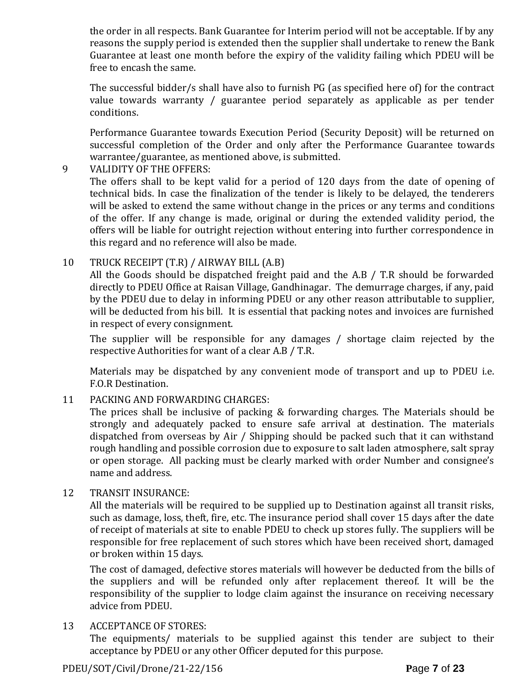the order in all respects. Bank Guarantee for Interim period will not be acceptable. If by any reasons the supply period is extended then the supplier shall undertake to renew the Bank Guarantee at least one month before the expiry of the validity failing which PDEU will be free to encash the same.

The successful bidder/s shall have also to furnish PG (as specified here of) for the contract value towards warranty / guarantee period separately as applicable as per tender conditions.

Performance Guarantee towards Execution Period (Security Deposit) will be returned on successful completion of the Order and only after the Performance Guarantee towards warrantee/guarantee, as mentioned above, is submitted.

# 9 VALIDITY OF THE OFFERS:

The offers shall to be kept valid for a period of 120 days from the date of opening of technical bids. In case the finalization of the tender is likely to be delayed, the tenderers will be asked to extend the same without change in the prices or any terms and conditions of the offer. If any change is made, original or during the extended validity period, the offers will be liable for outright rejection without entering into further correspondence in this regard and no reference will also be made.

# 10 TRUCK RECEIPT (T.R) / AIRWAY BILL (A.B)

All the Goods should be dispatched freight paid and the A.B / T.R should be forwarded directly to PDEU Office at Raisan Village, Gandhinagar. The demurrage charges, if any, paid by the PDEU due to delay in informing PDEU or any other reason attributable to supplier, will be deducted from his bill. It is essential that packing notes and invoices are furnished in respect of every consignment.

The supplier will be responsible for any damages / shortage claim rejected by the respective Authorities for want of a clear A.B / T.R.

Materials may be dispatched by any convenient mode of transport and up to PDEU i.e. F.O.R Destination.

# 11 PACKING AND FORWARDING CHARGES:

The prices shall be inclusive of packing & forwarding charges. The Materials should be strongly and adequately packed to ensure safe arrival at destination. The materials dispatched from overseas by Air / Shipping should be packed such that it can withstand rough handling and possible corrosion due to exposure to salt laden atmosphere, salt spray or open storage. All packing must be clearly marked with order Number and consignee's name and address.

# 12 TRANSIT INSURANCE:

All the materials will be required to be supplied up to Destination against all transit risks, such as damage, loss, theft, fire, etc. The insurance period shall cover 15 days after the date of receipt of materials at site to enable PDEU to check up stores fully. The suppliers will be responsible for free replacement of such stores which have been received short, damaged or broken within 15 days.

The cost of damaged, defective stores materials will however be deducted from the bills of the suppliers and will be refunded only after replacement thereof. It will be the responsibility of the supplier to lodge claim against the insurance on receiving necessary advice from PDEU.

# 13 ACCEPTANCE OF STORES:

The equipments/ materials to be supplied against this tender are subject to their acceptance by PDEU or any other Officer deputed for this purpose.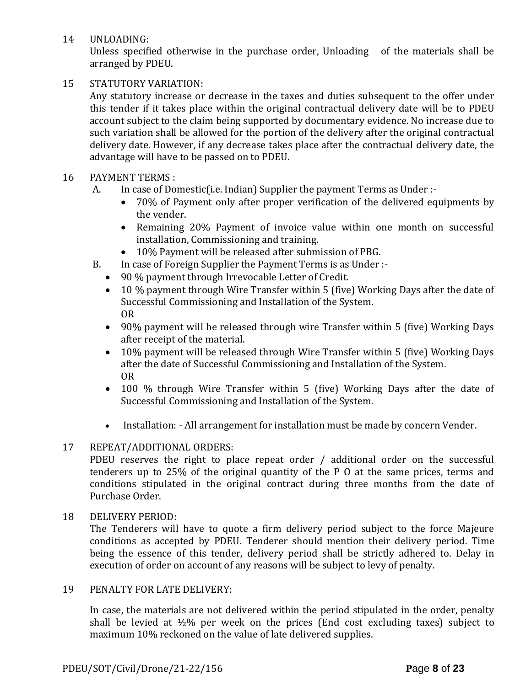14 UNLOADING:

Unless specified otherwise in the purchase order, Unloading of the materials shall be arranged by PDEU.

# 15 STATUTORY VARIATION:

Any statutory increase or decrease in the taxes and duties subsequent to the offer under this tender if it takes place within the original contractual delivery date will be to PDEU account subject to the claim being supported by documentary evidence. No increase due to such variation shall be allowed for the portion of the delivery after the original contractual delivery date. However, if any decrease takes place after the contractual delivery date, the advantage will have to be passed on to PDEU.

# 16 PAYMENT TERMS :

- A. In case of Domestic(i.e. Indian) Supplier the payment Terms as Under :-
	- 70% of Payment only after proper verification of the delivered equipments by the vender.
	- Remaining 20% Payment of invoice value within one month on successful installation, Commissioning and training.
	- 10% Payment will be released after submission of PBG.
- B. In case of Foreign Supplier the Payment Terms is as Under :-
	- 90 % payment through Irrevocable Letter of Credit.
	- 10 % payment through Wire Transfer within 5 (five) Working Days after the date of Successful Commissioning and Installation of the System. OR
	- 90% payment will be released through wire Transfer within 5 (five) Working Days after receipt of the material.
	- 10% payment will be released through Wire Transfer within 5 (five) Working Days after the date of Successful Commissioning and Installation of the System. OR
	- 100 % through Wire Transfer within 5 (five) Working Days after the date of Successful Commissioning and Installation of the System.
	- Installation: All arrangement for installation must be made by concern Vender.

# 17 REPEAT/ADDITIONAL ORDERS:

PDEU reserves the right to place repeat order / additional order on the successful tenderers up to 25% of the original quantity of the P O at the same prices, terms and conditions stipulated in the original contract during three months from the date of Purchase Order.

# 18 DELIVERY PERIOD:

The Tenderers will have to quote a firm delivery period subject to the force Majeure conditions as accepted by PDEU. Tenderer should mention their delivery period. Time being the essence of this tender, delivery period shall be strictly adhered to. Delay in execution of order on account of any reasons will be subject to levy of penalty.

# 19 PENALTY FOR LATE DELIVERY:

In case, the materials are not delivered within the period stipulated in the order, penalty shall be levied at  $\frac{1}{2}\%$  per week on the prices (End cost excluding taxes) subject to maximum 10% reckoned on the value of late delivered supplies.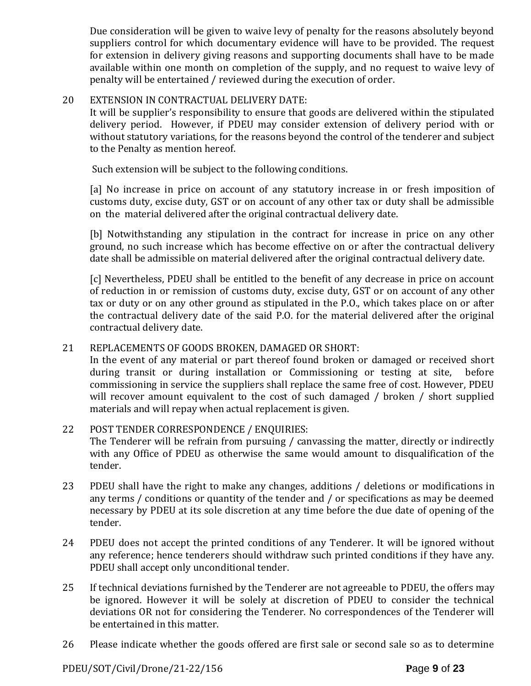Due consideration will be given to waive levy of penalty for the reasons absolutely beyond suppliers control for which documentary evidence will have to be provided. The request for extension in delivery giving reasons and supporting documents shall have to be made available within one month on completion of the supply, and no request to waive levy of penalty will be entertained / reviewed during the execution of order.

# 20 EXTENSION IN CONTRACTUAL DELIVERY DATE:

It will be supplier's responsibility to ensure that goods are delivered within the stipulated delivery period. However, if PDEU may consider extension of delivery period with or without statutory variations, for the reasons beyond the control of the tenderer and subject to the Penalty as mention hereof.

Such extension will be subject to the following conditions.

[a] No increase in price on account of any statutory increase in or fresh imposition of customs duty, excise duty, GST or on account of any other tax or duty shall be admissible on the material delivered after the original contractual delivery date.

[b] Notwithstanding any stipulation in the contract for increase in price on any other ground, no such increase which has become effective on or after the contractual delivery date shall be admissible on material delivered after the original contractual delivery date.

[c] Nevertheless, PDEU shall be entitled to the benefit of any decrease in price on account of reduction in or remission of customs duty, excise duty, GST or on account of any other tax or duty or on any other ground as stipulated in the P.O., which takes place on or after the contractual delivery date of the said P.O. for the material delivered after the original contractual delivery date.

# 21 REPLACEMENTS OF GOODS BROKEN, DAMAGED OR SHORT:

In the event of any material or part thereof found broken or damaged or received short during transit or during installation or Commissioning or testing at site, before commissioning in service the suppliers shall replace the same free of cost. However, PDEU will recover amount equivalent to the cost of such damaged / broken / short supplied materials and will repay when actual replacement is given.

# 22 POST TENDER CORRESPONDENCE / ENQUIRIES:

The Tenderer will be refrain from pursuing / canvassing the matter, directly or indirectly with any Office of PDEU as otherwise the same would amount to disqualification of the tender.

- 23 PDEU shall have the right to make any changes, additions / deletions or modifications in any terms / conditions or quantity of the tender and / or specifications as may be deemed necessary by PDEU at its sole discretion at any time before the due date of opening of the tender.
- 24 PDEU does not accept the printed conditions of any Tenderer. It will be ignored without any reference; hence tenderers should withdraw such printed conditions if they have any. PDEU shall accept only unconditional tender.
- 25 If technical deviations furnished by the Tenderer are not agreeable to PDEU, the offers may be ignored. However it will be solely at discretion of PDEU to consider the technical deviations OR not for considering the Tenderer. No correspondences of the Tenderer will be entertained in this matter.
- 26 Please indicate whether the goods offered are first sale or second sale so as to determine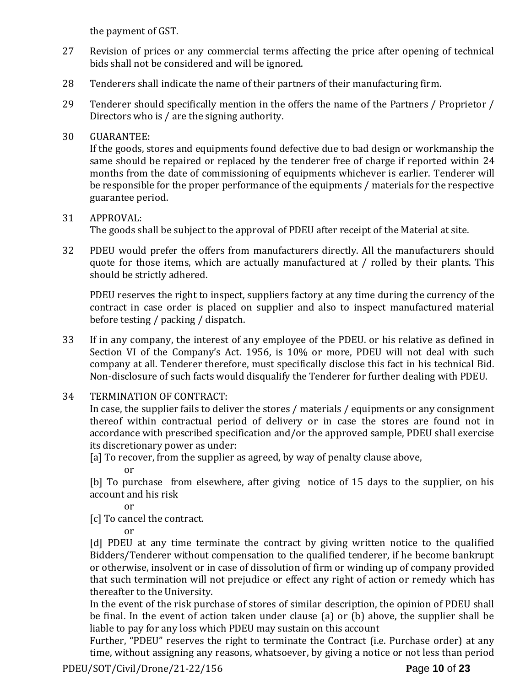the payment of GST.

- 27 Revision of prices or any commercial terms affecting the price after opening of technical bids shall not be considered and will be ignored.
- 28 Tenderers shall indicate the name of their partners of their manufacturing firm.
- 29 Tenderer should specifically mention in the offers the name of the Partners / Proprietor / Directors who is / are the signing authority.

# 30 GUARANTEE:

If the goods, stores and equipments found defective due to bad design or workmanship the same should be repaired or replaced by the tenderer free of charge if reported within 24 months from the date of commissioning of equipments whichever is earlier. Tenderer will be responsible for the proper performance of the equipments / materials for the respective guarantee period.

# 31 APPROVAL:

The goods shall be subject to the approval of PDEU after receipt of the Material at site.

32 PDEU would prefer the offers from manufacturers directly. All the manufacturers should quote for those items, which are actually manufactured at / rolled by their plants. This should be strictly adhered.

PDEU reserves the right to inspect, suppliers factory at any time during the currency of the contract in case order is placed on supplier and also to inspect manufactured material before testing / packing / dispatch.

- 33 If in any company, the interest of any employee of the PDEU. or his relative as defined in Section VI of the Company's Act. 1956, is 10% or more, PDEU will not deal with such company at all. Tenderer therefore, must specifically disclose this fact in his technical Bid. Non-disclosure of such facts would disqualify the Tenderer for further dealing with PDEU.
- 34 TERMINATION OF CONTRACT:

In case, the supplier fails to deliver the stores / materials / equipments or any consignment thereof within contractual period of delivery or in case the stores are found not in accordance with prescribed specification and/or the approved sample, PDEU shall exercise its discretionary power as under:

[a] To recover, from the supplier as agreed, by way of penalty clause above,

or

[b] To purchase from elsewhere, after giving notice of 15 days to the supplier, on his account and his risk

or

[c] To cancel the contract.

or

[d] PDEU at any time terminate the contract by giving written notice to the qualified Bidders/Tenderer without compensation to the qualified tenderer, if he become bankrupt or otherwise, insolvent or in case of dissolution of firm or winding up of company provided that such termination will not prejudice or effect any right of action or remedy which has thereafter to the University.

In the event of the risk purchase of stores of similar description, the opinion of PDEU shall be final. In the event of action taken under clause (a) or (b) above, the supplier shall be liable to pay for any loss which PDEU may sustain on this account

Further, "PDEU" reserves the right to terminate the Contract (i.e. Purchase order) at any time, without assigning any reasons, whatsoever, by giving a notice or not less than period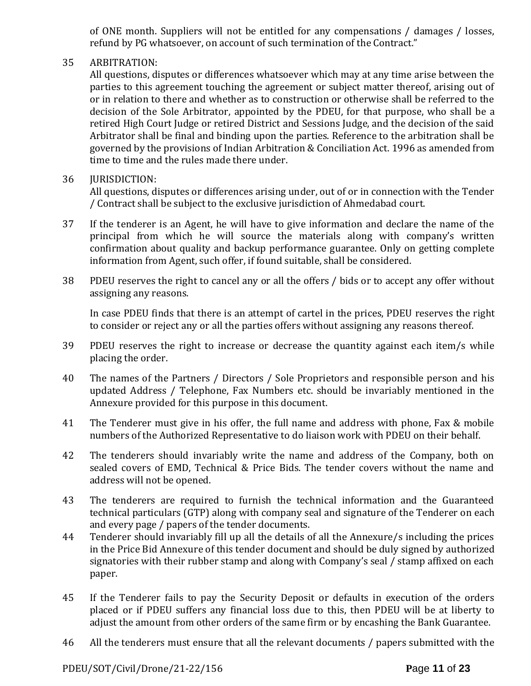of ONE month. Suppliers will not be entitled for any compensations / damages / losses, refund by PG whatsoever, on account of such termination of the Contract."

# 35 ARBITRATION:

All questions, disputes or differences whatsoever which may at any time arise between the parties to this agreement touching the agreement or subject matter thereof, arising out of or in relation to there and whether as to construction or otherwise shall be referred to the decision of the Sole Arbitrator, appointed by the PDEU, for that purpose, who shall be a retired High Court Judge or retired District and Sessions Judge, and the decision of the said Arbitrator shall be final and binding upon the parties. Reference to the arbitration shall be governed by the provisions of Indian Arbitration & Conciliation Act. 1996 as amended from time to time and the rules made there under.

# 36 **IURISDICTION:**

All questions, disputes or differences arising under, out of or in connection with the Tender / Contract shall be subject to the exclusive jurisdiction of Ahmedabad court.

- 37 If the tenderer is an Agent, he will have to give information and declare the name of the principal from which he will source the materials along with company's written confirmation about quality and backup performance guarantee. Only on getting complete information from Agent, such offer, if found suitable, shall be considered.
- 38 PDEU reserves the right to cancel any or all the offers / bids or to accept any offer without assigning any reasons.

In case PDEU finds that there is an attempt of cartel in the prices, PDEU reserves the right to consider or reject any or all the parties offers without assigning any reasons thereof.

- 39 PDEU reserves the right to increase or decrease the quantity against each item/s while placing the order.
- 40 The names of the Partners / Directors / Sole Proprietors and responsible person and his updated Address / Telephone, Fax Numbers etc. should be invariably mentioned in the Annexure provided for this purpose in this document.
- 41 The Tenderer must give in his offer, the full name and address with phone, Fax & mobile numbers of the Authorized Representative to do liaison work with PDEU on their behalf.
- 42 The tenderers should invariably write the name and address of the Company, both on sealed covers of EMD, Technical & Price Bids. The tender covers without the name and address will not be opened.
- 43 The tenderers are required to furnish the technical information and the Guaranteed technical particulars (GTP) along with company seal and signature of the Tenderer on each and every page / papers of the tender documents.
- 44 Tenderer should invariably fill up all the details of all the Annexure/s including the prices in the Price Bid Annexure of this tender document and should be duly signed by authorized signatories with their rubber stamp and along with Company's seal / stamp affixed on each paper.
- 45 If the Tenderer fails to pay the Security Deposit or defaults in execution of the orders placed or if PDEU suffers any financial loss due to this, then PDEU will be at liberty to adjust the amount from other orders of the same firm or by encashing the Bank Guarantee.
- 46 All the tenderers must ensure that all the relevant documents / papers submitted with the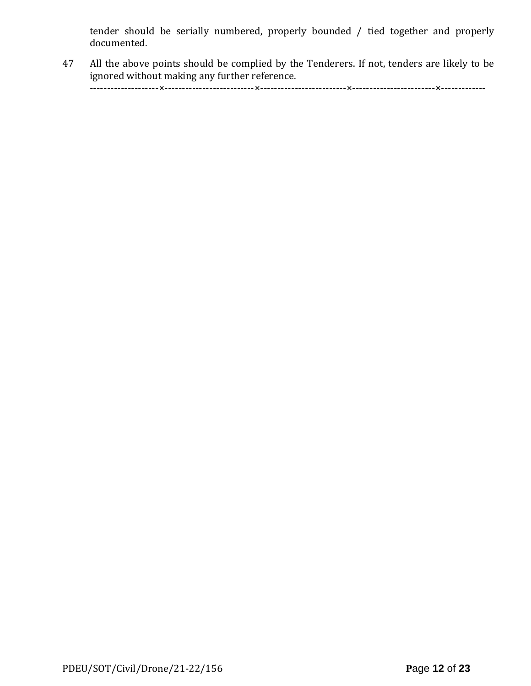tender should be serially numbered, properly bounded / tied together and properly documented.

47 All the above points should be complied by the Tenderers. If not, tenders are likely to be ignored without making any further reference.

--------------------×--------------------------×-------------------------×------------------------×-------------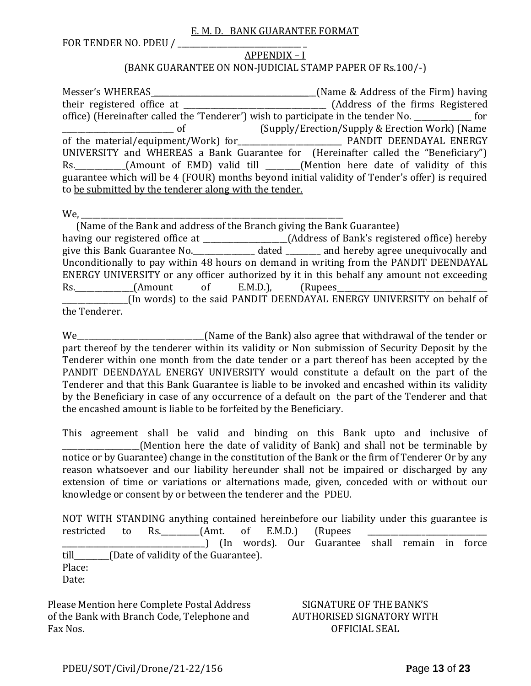#### E. M. D. BANK GUARANTEE FORMAT

FOR TENDER NO. PDEU / \_\_\_\_\_\_\_\_\_\_\_\_\_\_\_\_\_\_\_\_\_\_\_\_\_\_\_\_\_\_\_\_ \_

# APPENDIX – I (BANK GUARANTEE ON NON-JUDICIAL STAMP PAPER OF Rs.100/-)

Messer's WHEREAS \_\_\_\_\_\_\_\_\_\_\_\_\_\_\_\_\_\_\_\_\_\_\_\_\_\_\_\_\_\_\_\_\_\_\_\_\_\_\_\_\_\_(Name & Address of the Firm) having their registered office at \_\_\_\_\_\_\_\_\_\_\_\_\_\_\_\_\_\_\_\_\_\_\_\_\_\_\_\_\_\_\_\_\_\_\_\_\_ (Address of the firms Registered office) (Hereinafter called the 'Tenderer') wish to participate in the tender No. \_\_\_\_\_\_\_\_\_\_\_\_\_\_\_ for \_\_\_\_\_\_\_\_\_\_\_\_\_\_\_\_\_\_\_\_\_\_\_\_\_\_\_\_\_ of (Supply/Erection/Supply & Erection Work) (Name of the material/equipment/Work) for\_\_\_\_\_\_\_\_\_\_\_\_\_\_\_\_\_\_\_\_\_\_\_\_\_\_\_ PANDIT DEENDAYAL ENERGY UNIVERSITY and WHEREAS a Bank Guarantee for (Hereinafter called the "Beneficiary") Rs. \_\_\_\_\_\_\_\_\_\_(Amount of EMD) valid till \_\_\_\_\_\_(Mention here date of validity of this guarantee which will be 4 (FOUR) months beyond initial validity of Tender's offer) is required to be submitted by the tenderer along with the tender.

We,

 (Name of the Bank and address of the Branch giving the Bank Guarantee) having our registered office at \_\_\_\_\_\_\_\_\_\_\_\_\_\_\_\_\_\_\_\_\_\_(Address of Bank's registered office) hereby give this Bank Guarantee No.\_\_\_\_\_\_\_\_\_\_\_\_\_\_\_\_ dated \_\_\_\_\_\_\_\_\_ and hereby agree unequivocally and Unconditionally to pay within 48 hours on demand in writing from the PANDIT DEENDAYAL ENERGY UNIVERSITY or any officer authorized by it in this behalf any amount not exceeding Rs. (Amount of E.M.D.), (Rupees \_\_\_\_\_\_\_\_\_\_\_\_\_\_\_\_\_(In words) to the said PANDIT DEENDAYAL ENERGY UNIVERSITY on behalf of the Tenderer.

We\_\_\_\_\_\_\_\_\_\_\_\_\_\_\_\_\_\_\_\_\_\_\_\_\_\_\_\_\_\_\_\_\_(Name of the Bank) also agree that withdrawal of the tender or part thereof by the tenderer within its validity or Non submission of Security Deposit by the Tenderer within one month from the date tender or a part thereof has been accepted by the PANDIT DEENDAYAL ENERGY UNIVERSITY would constitute a default on the part of the Tenderer and that this Bank Guarantee is liable to be invoked and encashed within its validity by the Beneficiary in case of any occurrence of a default on the part of the Tenderer and that the encashed amount is liable to be forfeited by the Beneficiary.

This agreement shall be valid and binding on this Bank upto and inclusive of (Mention here the date of validity of Bank) and shall not be terminable by notice or by Guarantee) change in the constitution of the Bank or the firm of Tenderer Or by any reason whatsoever and our liability hereunder shall not be impaired or discharged by any extension of time or variations or alternations made, given, conceded with or without our knowledge or consent by or between the tenderer and the PDEU.

NOT WITH STANDING anything contained hereinbefore our liability under this guarantee is restricted to Rs.  $(Amt. of E.M.D.)$  (Rupees \_\_\_\_\_\_\_\_\_\_\_\_\_\_\_\_\_\_\_\_\_\_\_\_\_\_\_\_\_\_\_\_\_\_\_\_\_) (In words). Our Guarantee shall remain in force till\_\_\_\_\_\_\_\_\_(Date of validity of the Guarantee). Place: Date:

Please Mention here Complete Postal Address of the Bank with Branch Code, Telephone and Fax Nos.

SIGNATURE OF THE BANK'S AUTHORISED SIGNATORY WITH OFFICIAL SEAL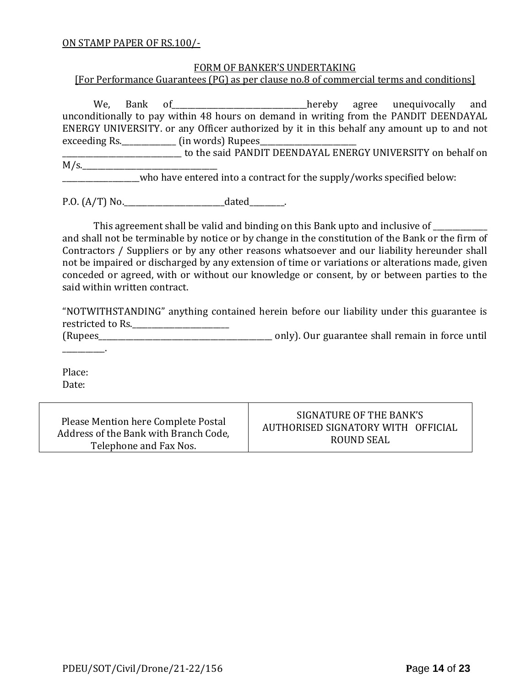#### ON STAMP PAPER OF RS.100/-

#### FORM OF BANKER'S UNDERTAKING

[For Performance Guarantees (PG) as per clause no.8 of commercial terms and conditions]

We, Bank of all and the end of the same of the same of the same of the same hereby agree unequivocally and unconditionally to pay within 48 hours on demand in writing from the PANDIT DEENDAYAL ENERGY UNIVERSITY. or any Officer authorized by it in this behalf any amount up to and not exceeding Rs.\_\_\_\_\_\_\_\_\_\_\_\_\_\_\_\_\_\_\_\_\_ (in words) Rupees\_

\_\_\_\_\_\_\_\_\_\_\_\_\_\_\_\_\_\_\_\_\_\_\_\_\_\_\_\_\_\_\_ to the said PANDIT DEENDAYAL ENERGY UNIVERSITY on behalf on  $M/s$ .

who have entered into a contract for the supply/works specified below:

P.O. (A/T) No.\_\_\_\_\_\_\_\_\_\_\_\_\_\_\_\_\_\_\_\_\_\_\_\_\_\_dated\_\_\_\_\_\_\_\_\_.

This agreement shall be valid and binding on this Bank upto and inclusive of \_\_\_\_\_\_\_\_\_\_

and shall not be terminable by notice or by change in the constitution of the Bank or the firm of Contractors / Suppliers or by any other reasons whatsoever and our liability hereunder shall not be impaired or discharged by any extension of time or variations or alterations made, given conceded or agreed, with or without our knowledge or consent, by or between parties to the said within written contract.

"NOTWITHSTANDING" anything contained herein before our liability under this guarantee is restricted to Rs.\_\_\_\_\_\_\_\_\_\_\_\_\_\_\_\_\_\_\_\_\_\_\_\_\_

(Rupees\_\_\_\_\_\_\_\_\_\_\_\_\_\_\_\_\_\_\_\_\_\_\_\_\_\_\_\_\_\_\_\_\_\_\_\_\_\_\_\_\_\_\_\_\_ only). Our guarantee shall remain in force until

Place: Date:

\_\_\_\_\_\_\_\_\_\_\_.

Please Mention here Complete Postal Address of the Bank with Branch Code, Telephone and Fax Nos.

SIGNATURE OF THE BANK'S AUTHORISED SIGNATORY WITH OFFICIAL ROUND SEAL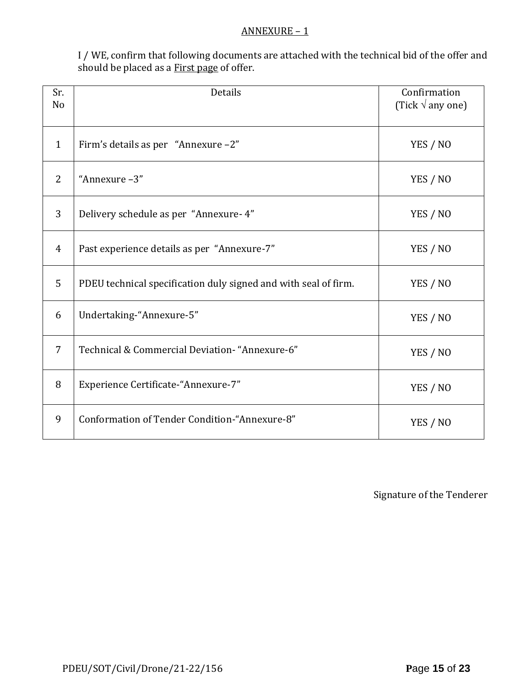#### ANNEXURE – 1

I / WE, confirm that following documents are attached with the technical bid of the offer and should be placed as a **First page** of offer.

| Sr.<br>N <sub>o</sub> | <b>Details</b>                                                  | Confirmation<br>(Tick $\sqrt{ }$ any one) |
|-----------------------|-----------------------------------------------------------------|-------------------------------------------|
| $\mathbf{1}$          | Firm's details as per "Annexure -2"                             | YES / NO                                  |
| 2                     | "Annexure-3"                                                    | YES / NO                                  |
| 3                     | Delivery schedule as per "Annexure- 4"                          | YES / NO                                  |
| $\overline{4}$        | Past experience details as per "Annexure-7"                     | YES / NO                                  |
| 5                     | PDEU technical specification duly signed and with seal of firm. | YES / NO                                  |
| 6                     | Undertaking-"Annexure-5"                                        | YES / NO                                  |
| $\overline{7}$        | Technical & Commercial Deviation- "Annexure-6"                  | YES / NO                                  |
| 8                     | Experience Certificate-"Annexure-7"                             | YES / NO                                  |
| 9                     | Conformation of Tender Condition-"Annexure-8"                   | YES / NO                                  |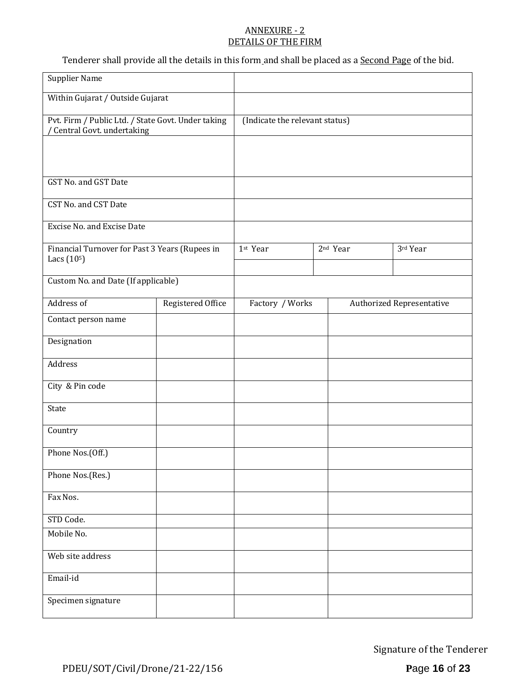#### ANNEXURE - 2 DETAILS OF THE FIRM

Tenderer shall provide all the details in this form and shall be placed as a Second Page of the bid.

| <b>Supplier Name</b>                                                            |                   |                                |  |                      |                                  |
|---------------------------------------------------------------------------------|-------------------|--------------------------------|--|----------------------|----------------------------------|
| Within Gujarat / Outside Gujarat                                                |                   |                                |  |                      |                                  |
| Pvt. Firm / Public Ltd. / State Govt. Under taking<br>Central Govt. undertaking |                   | (Indicate the relevant status) |  |                      |                                  |
|                                                                                 |                   |                                |  |                      |                                  |
| GST No. and GST Date                                                            |                   |                                |  |                      |                                  |
| CST No. and CST Date                                                            |                   |                                |  |                      |                                  |
| Excise No. and Excise Date                                                      |                   |                                |  |                      |                                  |
| Financial Turnover for Past 3 Years (Rupees in<br>Lacs (10 <sup>5</sup> )       |                   | 1st Year                       |  | 2 <sup>nd</sup> Year | 3rd Year                         |
| Custom No. and Date (If applicable)                                             |                   |                                |  |                      |                                  |
| Address of                                                                      | Registered Office | Factory / Works                |  |                      | <b>Authorized Representative</b> |
| Contact person name                                                             |                   |                                |  |                      |                                  |
| Designation                                                                     |                   |                                |  |                      |                                  |
| Address                                                                         |                   |                                |  |                      |                                  |
| City & Pin code                                                                 |                   |                                |  |                      |                                  |
| State                                                                           |                   |                                |  |                      |                                  |
| Country                                                                         |                   |                                |  |                      |                                  |
| Phone Nos.(Off.)                                                                |                   |                                |  |                      |                                  |
| Phone Nos.(Res.)                                                                |                   |                                |  |                      |                                  |
| Fax Nos.                                                                        |                   |                                |  |                      |                                  |
| STD Code.                                                                       |                   |                                |  |                      |                                  |
| Mobile No.                                                                      |                   |                                |  |                      |                                  |
| Web site address                                                                |                   |                                |  |                      |                                  |
| Email-id                                                                        |                   |                                |  |                      |                                  |
| Specimen signature                                                              |                   |                                |  |                      |                                  |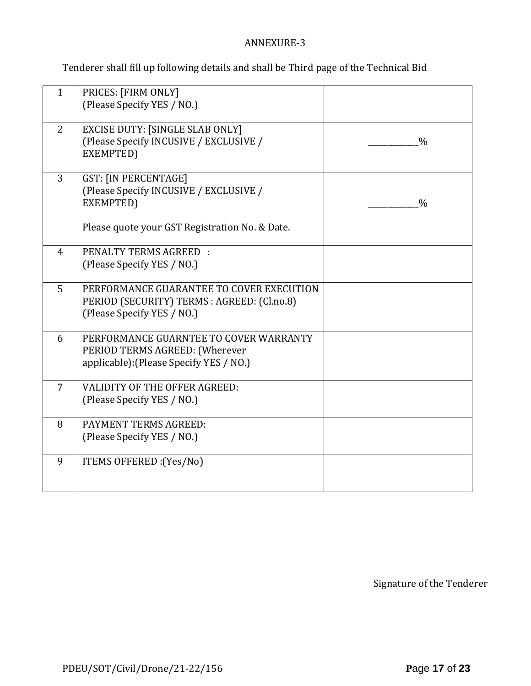# ANNEXURE-3

Tenderer shall fill up following details and shall be Third page of the Technical Bid

| $\mathbf{1}$   | PRICES: [FIRM ONLY]<br>(Please Specify YES / NO.)                                                                                    |               |
|----------------|--------------------------------------------------------------------------------------------------------------------------------------|---------------|
| 2              | <b>EXCISE DUTY: [SINGLE SLAB ONLY]</b><br>(Please Specify INCUSIVE / EXCLUSIVE /<br>EXEMPTED)                                        | $\frac{0}{0}$ |
| $\overline{3}$ | <b>GST: [IN PERCENTAGE]</b><br>(Please Specify INCUSIVE / EXCLUSIVE /<br>EXEMPTED)<br>Please quote your GST Registration No. & Date. | $\frac{0}{0}$ |
| $\overline{4}$ | PENALTY TERMS AGREED :<br>(Please Specify YES / NO.)                                                                                 |               |
| 5              | PERFORMANCE GUARANTEE TO COVER EXECUTION<br>PERIOD (SECURITY) TERMS : AGREED: (Cl.no.8)<br>(Please Specify YES / NO.)                |               |
| 6              | PERFORMANCE GUARNTEE TO COVER WARRANTY<br>PERIOD TERMS AGREED: (Wherever<br>applicable): (Please Specify YES / NO.)                  |               |
| $\overline{7}$ | <b>VALIDITY OF THE OFFER AGREED:</b><br>(Please Specify YES / NO.)                                                                   |               |
| 8              | PAYMENT TERMS AGREED:<br>(Please Specify YES / NO.)                                                                                  |               |
| 9              | ITEMS OFFERED : (Yes/No)                                                                                                             |               |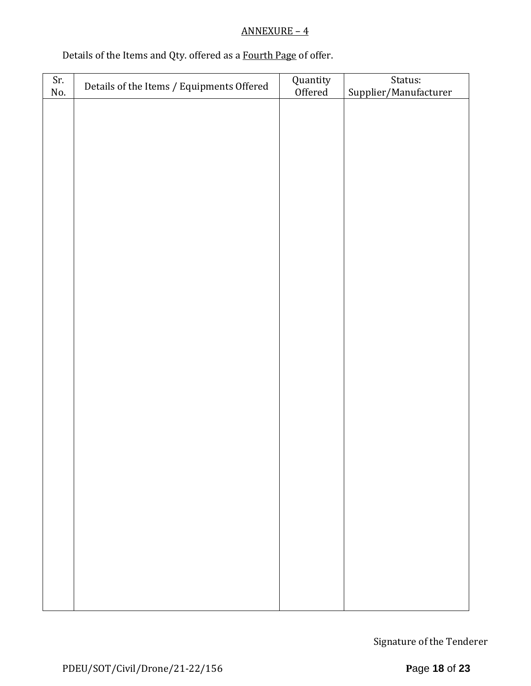# ANNEXURE – 4

# Details of the Items and Qty. offered as a Fourth Page of offer.

| Sr. | Details of the Items / Equipments Offered | Quantity<br>Offered | Status:               |
|-----|-------------------------------------------|---------------------|-----------------------|
| No. |                                           |                     | Supplier/Manufacturer |
|     |                                           |                     |                       |
|     |                                           |                     |                       |
|     |                                           |                     |                       |
|     |                                           |                     |                       |
|     |                                           |                     |                       |
|     |                                           |                     |                       |
|     |                                           |                     |                       |
|     |                                           |                     |                       |
|     |                                           |                     |                       |
|     |                                           |                     |                       |
|     |                                           |                     |                       |
|     |                                           |                     |                       |
|     |                                           |                     |                       |
|     |                                           |                     |                       |
|     |                                           |                     |                       |
|     |                                           |                     |                       |
|     |                                           |                     |                       |
|     |                                           |                     |                       |
|     |                                           |                     |                       |
|     |                                           |                     |                       |
|     |                                           |                     |                       |
|     |                                           |                     |                       |
|     |                                           |                     |                       |
|     |                                           |                     |                       |
|     |                                           |                     |                       |
|     |                                           |                     |                       |
|     |                                           |                     |                       |
|     |                                           |                     |                       |
|     |                                           |                     |                       |
|     |                                           |                     |                       |
|     |                                           |                     |                       |
|     |                                           |                     |                       |
|     |                                           |                     |                       |
|     |                                           |                     |                       |
|     |                                           |                     |                       |
|     |                                           |                     |                       |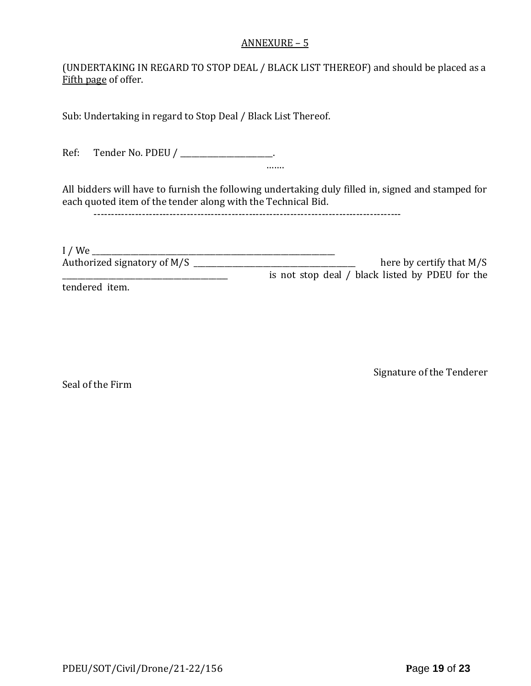#### ANNEXURE – 5

(UNDERTAKING IN REGARD TO STOP DEAL / BLACK LIST THEREOF) and should be placed as a Fifth page of offer.

Sub: Undertaking in regard to Stop Deal / Black List Thereof.

Ref: Tender No. PDEU / \_\_\_\_\_\_\_\_\_\_\_\_\_\_\_\_\_\_\_\_.

All bidders will have to furnish the following undertaking duly filled in, signed and stamped for each quoted item of the tender along with the Technical Bid.

…….

-----------------------------------------------------------------------------------------

| I/We                        |                                                 |
|-----------------------------|-------------------------------------------------|
| Authorized signatory of M/S | here by certify that $M/S$                      |
|                             | is not stop deal / black listed by PDEU for the |
|                             |                                                 |

tendered item.

Seal of the Firm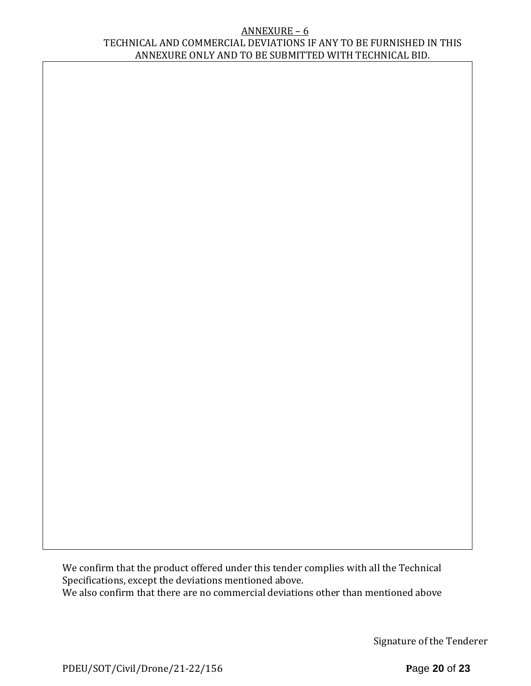#### ANNEXURE – 6 TECHNICAL AND COMMERCIAL DEVIATIONS IF ANY TO BE FURNISHED IN THIS ANNEXURE ONLY AND TO BE SUBMITTED WITH TECHNICAL BID.

We confirm that the product offered under this tender complies with all the Technical Specifications, except the deviations mentioned above. We also confirm that there are no commercial deviations other than mentioned above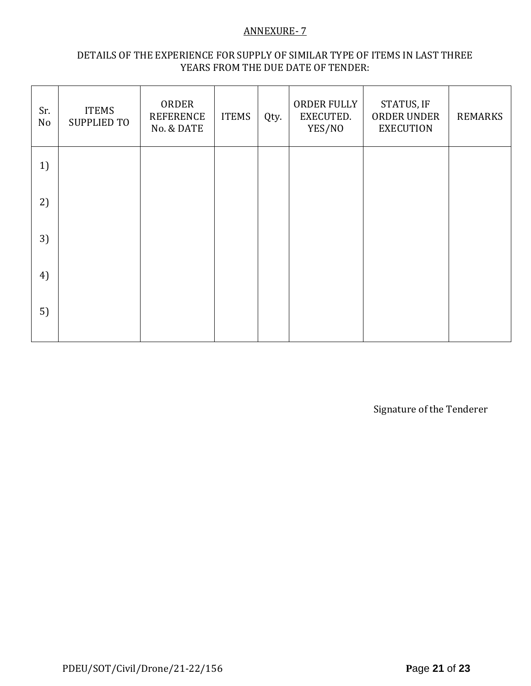## ANNEXURE- 7

# DETAILS OF THE EXPERIENCE FOR SUPPLY OF SIMILAR TYPE OF ITEMS IN LAST THREE YEARS FROM THE DUE DATE OF TENDER:

| Sr.<br>No | <b>ITEMS</b><br><b>SUPPLIED TO</b> | ORDER<br><b>REFERENCE</b><br>No. & DATE | <b>ITEMS</b> | Qty. | ORDER FULLY<br>EXECUTED.<br>YES/NO | STATUS, IF<br>ORDER UNDER<br><b>EXECUTION</b> | <b>REMARKS</b> |
|-----------|------------------------------------|-----------------------------------------|--------------|------|------------------------------------|-----------------------------------------------|----------------|
| 1)        |                                    |                                         |              |      |                                    |                                               |                |
| 2)        |                                    |                                         |              |      |                                    |                                               |                |
| 3)        |                                    |                                         |              |      |                                    |                                               |                |
| 4)        |                                    |                                         |              |      |                                    |                                               |                |
| 5)        |                                    |                                         |              |      |                                    |                                               |                |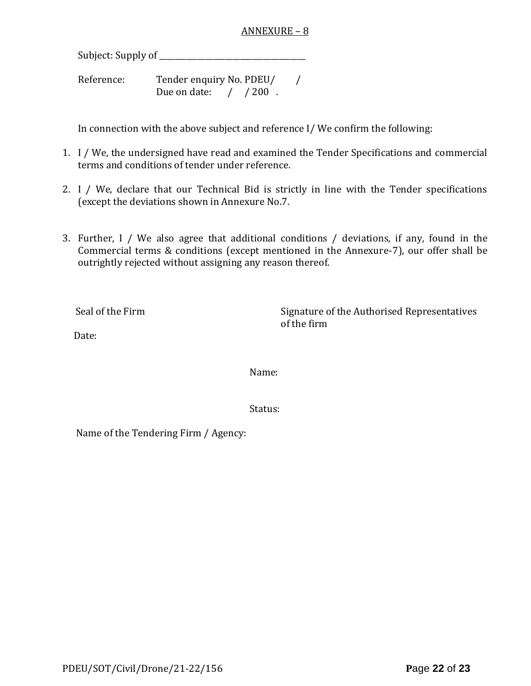#### ANNEXURE – 8

Subject: Supply of \_\_\_\_\_\_\_\_\_\_\_\_\_\_\_\_\_\_\_\_\_\_\_\_\_\_\_\_\_\_\_\_\_\_\_\_\_\_

Reference: Tender enquiry No. PDEU/ / Due on date: / / 200.

In connection with the above subject and reference I/ We confirm the following:

- 1. I / We, the undersigned have read and examined the Tender Specifications and commercial terms and conditions of tender under reference.
- 2. I / We, declare that our Technical Bid is strictly in line with the Tender specifications (except the deviations shown in Annexure No.7.
- 3. Further, I / We also agree that additional conditions / deviations, if any, found in the Commercial terms & conditions (except mentioned in the Annexure-7), our offer shall be outrightly rejected without assigning any reason thereof.

Seal of the Firm Signature of the Authorised Representatives of the firm

Date:

Name:

Status:

Name of the Tendering Firm / Agency: